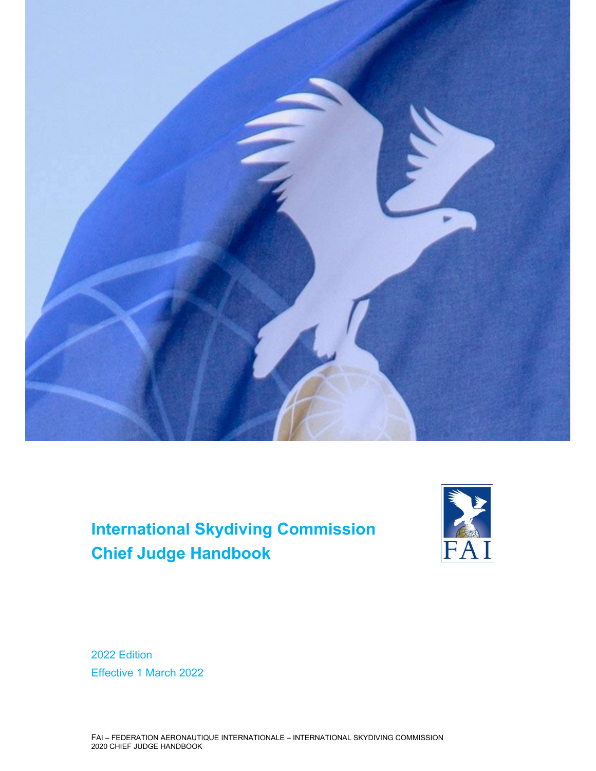

# **International Skydiving Commission Chief Judge Handbook**



2022 Edition Effective 1 March 2022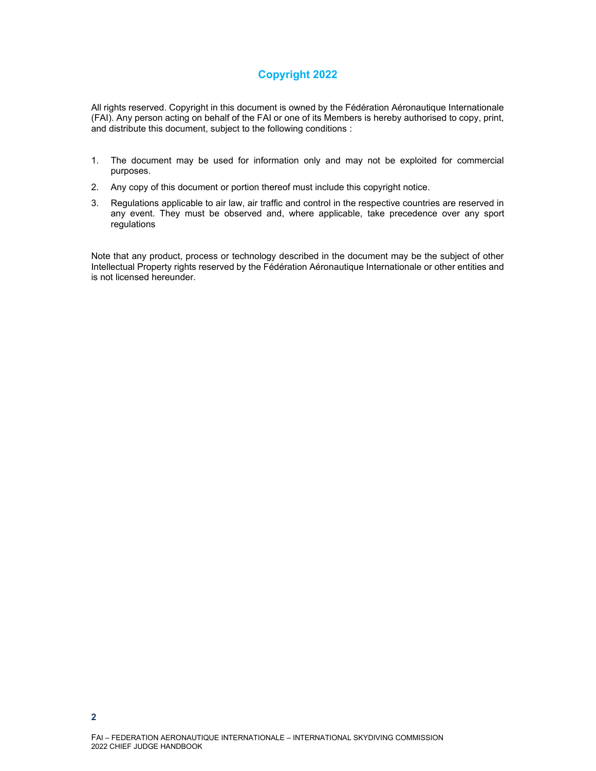## **Copyright 2022**

All rights reserved. Copyright in this document is owned by the Fédération Aéronautique Internationale (FAI). Any person acting on behalf of the FAI or one of its Members is hereby authorised to copy, print, and distribute this document, subject to the following conditions :

- 1. The document may be used for information only and may not be exploited for commercial purposes.
- 2. Any copy of this document or portion thereof must include this copyright notice.
- 3. Regulations applicable to air law, air traffic and control in the respective countries are reserved in any event. They must be observed and, where applicable, take precedence over any sport regulations

Note that any product, process or technology described in the document may be the subject of other Intellectual Property rights reserved by the Fédération Aéronautique Internationale or other entities and is not licensed hereunder.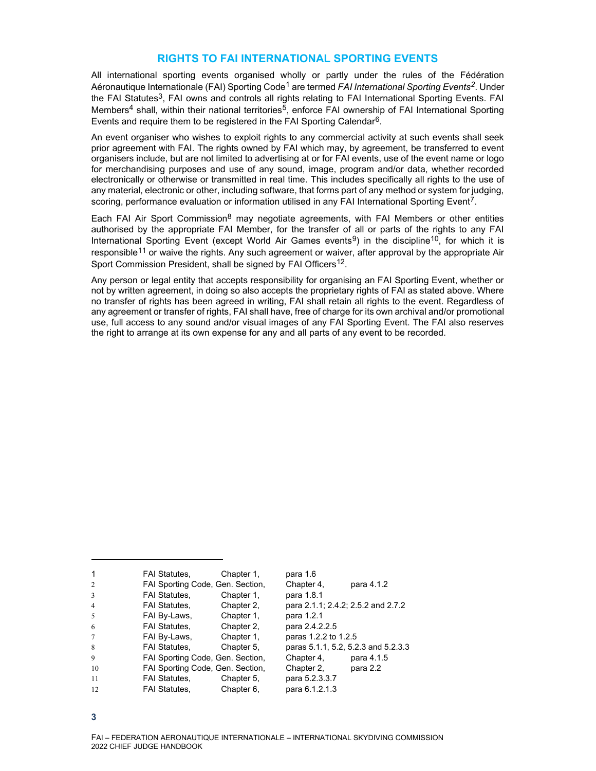#### **RIGHTS TO FAI INTERNATIONAL SPORTING EVENTS**

All international sporting events organised wholly or partly under the rules of the Fédération Aéronautique Internationale (FAI) Sporting Code1 are termed *FAI International Sporting Events2*. Under the FAI Statutes<sup>3</sup>, FAI owns and controls all rights relating to FAI International Sporting Events. FAI Members<sup>4</sup> shall, within their national territories<sup>5</sup>, enforce FAI ownership of FAI International Sporting Events and require them to be registered in the FAI Sporting Calendar<sup>6</sup>.

An event organiser who wishes to exploit rights to any commercial activity at such events shall seek prior agreement with FAI. The rights owned by FAI which may, by agreement, be transferred to event organisers include, but are not limited to advertising at or for FAI events, use of the event name or logo for merchandising purposes and use of any sound, image, program and/or data, whether recorded electronically or otherwise or transmitted in real time. This includes specifically all rights to the use of any material, electronic or other, including software, that forms part of any method or system for judging, scoring, performance evaluation or information utilised in any FAI International Sporting Event<sup>7</sup>.

Each FAI Air Sport Commission<sup>8</sup> may negotiate agreements, with FAI Members or other entities authorised by the appropriate FAI Member, for the transfer of all or parts of the rights to any FAI International Sporting Event (except World Air Games events<sup>9</sup>) in the discipline<sup>10</sup>, for which it is responsible<sup>11</sup> or waive the rights. Any such agreement or waiver, after approval by the appropriate Air Sport Commission President, shall be signed by FAI Officers<sup>12</sup>.

Any person or legal entity that accepts responsibility for organising an FAI Sporting Event, whether or not by written agreement, in doing so also accepts the proprietary rights of FAI as stated above. Where no transfer of rights has been agreed in writing, FAI shall retain all rights to the event. Regardless of any agreement or transfer of rights, FAI shall have, free of charge for its own archival and/or promotional use, full access to any sound and/or visual images of any FAI Sporting Event. The FAI also reserves the right to arrange at its own expense for any and all parts of any event to be recorded.

| $\mathbf{1}$   | <b>FAI Statutes,</b>             | Chapter 1, | para 1.6                            |            |
|----------------|----------------------------------|------------|-------------------------------------|------------|
| $\overline{2}$ | FAI Sporting Code, Gen. Section, |            | Chapter 4,                          | para 4.1.2 |
| 3              | <b>FAI Statutes.</b>             | Chapter 1. | para 1.8.1                          |            |
| $\overline{4}$ | <b>FAI Statutes,</b>             | Chapter 2. | para 2.1.1; 2.4.2; 2.5.2 and 2.7.2  |            |
| 5              | FAI By-Laws,                     | Chapter 1. | para 1.2.1                          |            |
| 6              | <b>FAI Statutes.</b>             | Chapter 2. | para 2.4.2.2.5                      |            |
| $\tau$         | FAI By-Laws,                     | Chapter 1. | paras 1.2.2 to 1.2.5                |            |
| 8              | <b>FAI Statutes,</b>             | Chapter 5. | paras 5.1.1, 5.2, 5.2.3 and 5.2.3.3 |            |
| $\mathbf Q$    | FAI Sporting Code, Gen. Section, |            | Chapter 4,                          | para 4.1.5 |
| 10             | FAI Sporting Code, Gen. Section, |            | Chapter 2,                          | para 2.2   |
| 11             | <b>FAI Statutes.</b>             | Chapter 5. | para 5.2.3.3.7                      |            |
| 12             | <b>FAI Statutes.</b>             | Chapter 6. | para 6.1.2.1.3                      |            |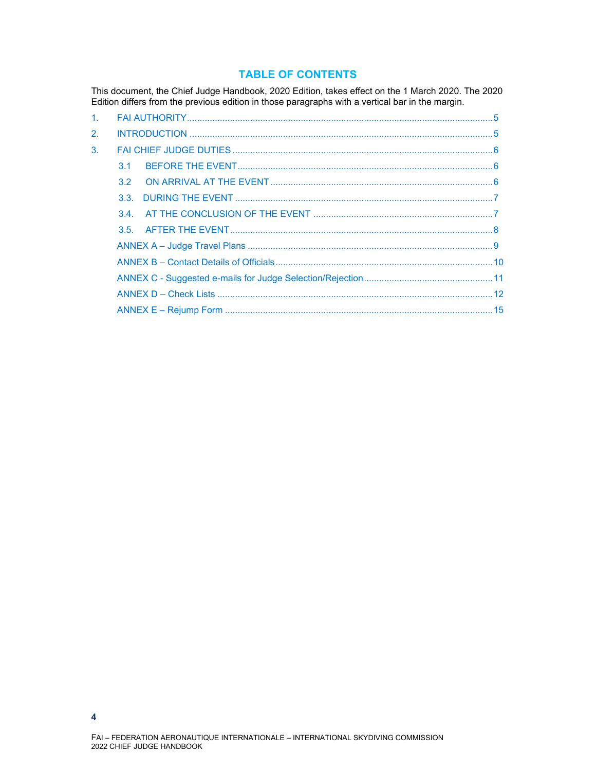#### **TABLE OF CONTENTS**

This document, the Chief Judge Handbook, 2020 Edition, takes effect on the 1 March 2020. The 2020 Edition differs from the previous edition in those paragraphs with a vertical bar in the margin.

| 1 <sub>1</sub> |                 |  |
|----------------|-----------------|--|
| 2.             |                 |  |
| 3.             |                 |  |
|                | $\overline{3}1$ |  |
|                | 32 <sup>2</sup> |  |
|                |                 |  |
|                |                 |  |
|                |                 |  |
|                |                 |  |
|                |                 |  |
|                |                 |  |
|                |                 |  |
|                |                 |  |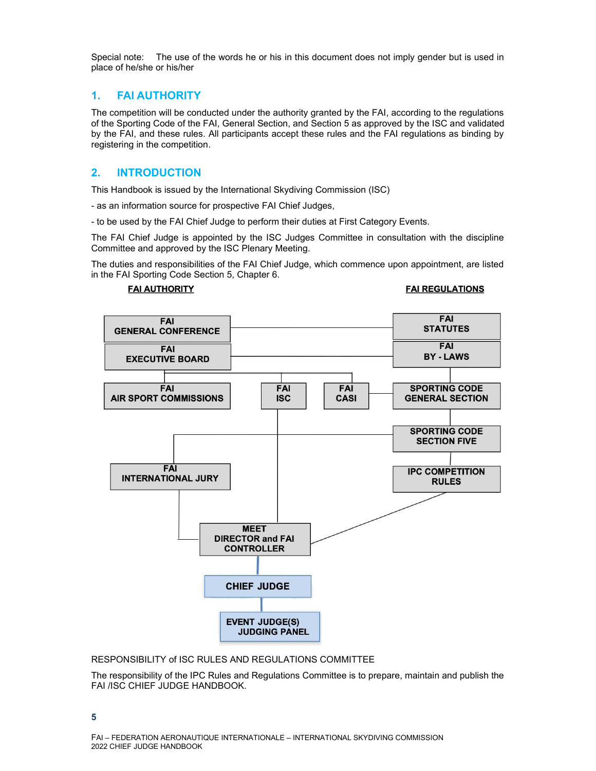Special note: The use of the words he or his in this document does not imply gender but is used in place of he/she or his/her

#### **1. FAI AUTHORITY**

The competition will be conducted under the authority granted by the FAI, according to the regulations of the Sporting Code of the FAI, General Section, and Section 5 as approved by the ISC and validated by the FAI, and these rules. All participants accept these rules and the FAI regulations as binding by registering in the competition.

#### **2. INTRODUCTION**

This Handbook is issued by the International Skydiving Commission (ISC)

- as an information source for prospective FAI Chief Judges,

- to be used by the FAI Chief Judge to perform their duties at First Category Events.

The FAI Chief Judge is appointed by the ISC Judges Committee in consultation with the discipline Committee and approved by the ISC Plenary Meeting.

The duties and responsibilities of the FAI Chief Judge, which commence upon appointment, are listed in the FAI Sporting Code Section 5, Chapter 6.

#### **FAI AUTHORITY**

#### **FAI REGULATIONS**



RESPONSIBILITY of ISC RULES AND REGULATIONS COMMITTEE

The responsibility of the IPC Rules and Regulations Committee is to prepare, maintain and publish the FAI /ISC CHIEF JUDGE HANDBOOK.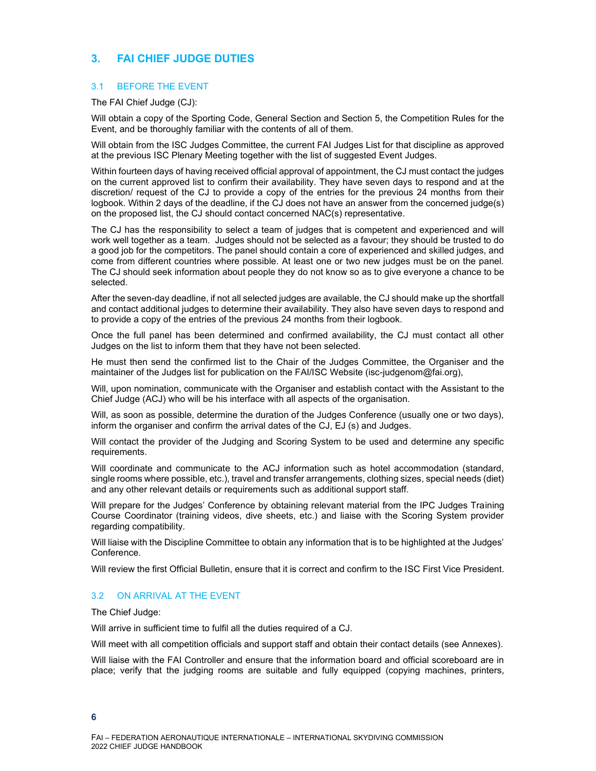## **3. FAI CHIEF JUDGE DUTIES**

#### 3.1 BEFORE THE EVENT

The FAI Chief Judge (CJ):

Will obtain a copy of the Sporting Code, General Section and Section 5, the Competition Rules for the Event, and be thoroughly familiar with the contents of all of them.

Will obtain from the ISC Judges Committee, the current FAI Judges List for that discipline as approved at the previous ISC Plenary Meeting together with the list of suggested Event Judges.

Within fourteen days of having received official approval of appointment, the CJ must contact the judges on the current approved list to confirm their availability. They have seven days to respond and at the discretion/ request of the CJ to provide a copy of the entries for the previous 24 months from their logbook. Within 2 days of the deadline, if the CJ does not have an answer from the concerned judge(s) on the proposed list, the CJ should contact concerned NAC(s) representative.

The CJ has the responsibility to select a team of judges that is competent and experienced and will work well together as a team. Judges should not be selected as a favour; they should be trusted to do a good job for the competitors. The panel should contain a core of experienced and skilled judges, and come from different countries where possible. At least one or two new judges must be on the panel. The CJ should seek information about people they do not know so as to give everyone a chance to be selected.

After the seven-day deadline, if not all selected judges are available, the CJ should make up the shortfall and contact additional judges to determine their availability. They also have seven days to respond and to provide a copy of the entries of the previous 24 months from their logbook.

Once the full panel has been determined and confirmed availability, the CJ must contact all other Judges on the list to inform them that they have not been selected.

He must then send the confirmed list to the Chair of the Judges Committee, the Organiser and the maintainer of the Judges list for publication on the FAI/ISC Website (isc-judgenom@fai.org),

Will, upon nomination, communicate with the Organiser and establish contact with the Assistant to the Chief Judge (ACJ) who will be his interface with all aspects of the organisation.

Will, as soon as possible, determine the duration of the Judges Conference (usually one or two days), inform the organiser and confirm the arrival dates of the CJ, EJ (s) and Judges.

Will contact the provider of the Judging and Scoring System to be used and determine any specific requirements.

Will coordinate and communicate to the ACJ information such as hotel accommodation (standard, single rooms where possible, etc.), travel and transfer arrangements, clothing sizes, special needs (diet) and any other relevant details or requirements such as additional support staff.

Will prepare for the Judges' Conference by obtaining relevant material from the IPC Judges Training Course Coordinator (training videos, dive sheets, etc.) and liaise with the Scoring System provider regarding compatibility.

Will liaise with the Discipline Committee to obtain any information that is to be highlighted at the Judges' Conference.

Will review the first Official Bulletin, ensure that it is correct and confirm to the ISC First Vice President.

#### 3.2 ON ARRIVAL AT THE EVENT

The Chief Judge:

Will arrive in sufficient time to fulfil all the duties required of a CJ.

Will meet with all competition officials and support staff and obtain their contact details (see Annexes).

Will liaise with the FAI Controller and ensure that the information board and official scoreboard are in place; verify that the judging rooms are suitable and fully equipped (copying machines, printers,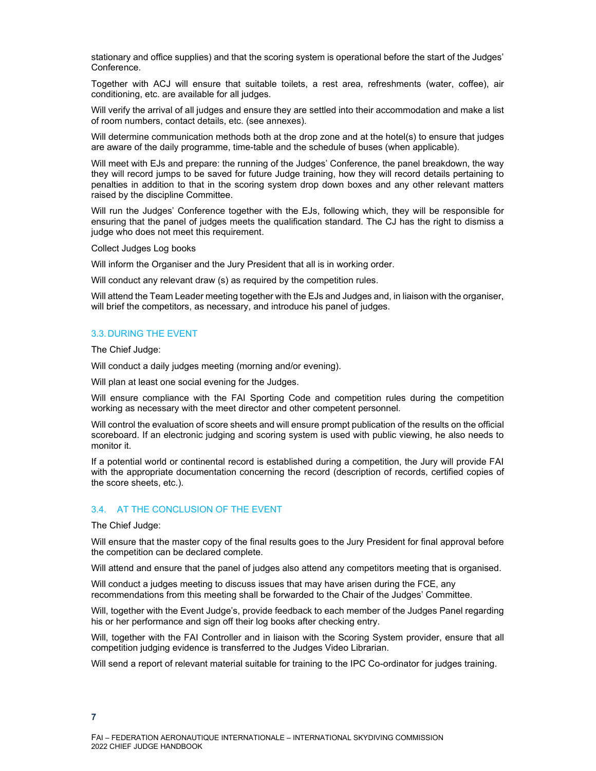stationary and office supplies) and that the scoring system is operational before the start of the Judges' Conference.

Together with ACJ will ensure that suitable toilets, a rest area, refreshments (water, coffee), air conditioning, etc. are available for all judges.

Will verify the arrival of all judges and ensure they are settled into their accommodation and make a list of room numbers, contact details, etc. (see annexes).

Will determine communication methods both at the drop zone and at the hotel(s) to ensure that judges are aware of the daily programme, time-table and the schedule of buses (when applicable).

Will meet with EJs and prepare: the running of the Judges' Conference, the panel breakdown, the way they will record jumps to be saved for future Judge training, how they will record details pertaining to penalties in addition to that in the scoring system drop down boxes and any other relevant matters raised by the discipline Committee.

Will run the Judges' Conference together with the EJs, following which, they will be responsible for ensuring that the panel of judges meets the qualification standard. The CJ has the right to dismiss a judge who does not meet this requirement.

Collect Judges Log books

Will inform the Organiser and the Jury President that all is in working order.

Will conduct any relevant draw (s) as required by the competition rules.

Will attend the Team Leader meeting together with the EJs and Judges and, in liaison with the organiser, will brief the competitors, as necessary, and introduce his panel of judges.

#### 3.3. DURING THE EVENT

The Chief Judge:

Will conduct a daily judges meeting (morning and/or evening).

Will plan at least one social evening for the Judges.

Will ensure compliance with the FAI Sporting Code and competition rules during the competition working as necessary with the meet director and other competent personnel.

Will control the evaluation of score sheets and will ensure prompt publication of the results on the official scoreboard. If an electronic judging and scoring system is used with public viewing, he also needs to monitor it.

If a potential world or continental record is established during a competition, the Jury will provide FAI with the appropriate documentation concerning the record (description of records, certified copies of the score sheets, etc.).

#### 3.4. AT THE CONCLUSION OF THE EVENT

The Chief Judge:

Will ensure that the master copy of the final results goes to the Jury President for final approval before the competition can be declared complete.

Will attend and ensure that the panel of judges also attend any competitors meeting that is organised.

Will conduct a judges meeting to discuss issues that may have arisen during the FCE, any recommendations from this meeting shall be forwarded to the Chair of the Judges' Committee.

Will, together with the Event Judge's, provide feedback to each member of the Judges Panel regarding his or her performance and sign off their log books after checking entry.

Will, together with the FAI Controller and in liaison with the Scoring System provider, ensure that all competition judging evidence is transferred to the Judges Video Librarian.

Will send a report of relevant material suitable for training to the IPC Co-ordinator for judges training.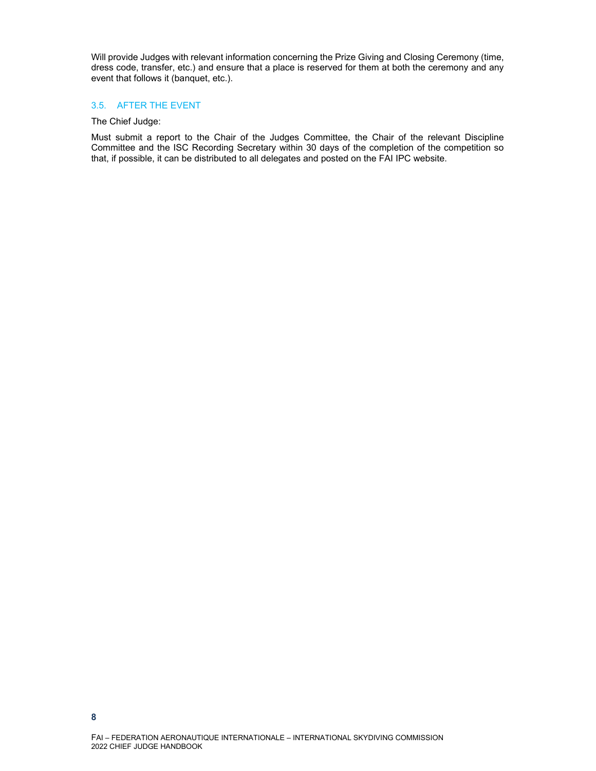Will provide Judges with relevant information concerning the Prize Giving and Closing Ceremony (time, dress code, transfer, etc.) and ensure that a place is reserved for them at both the ceremony and any event that follows it (banquet, etc.).

#### 3.5. AFTER THE EVENT

#### The Chief Judge:

Must submit a report to the Chair of the Judges Committee, the Chair of the relevant Discipline Committee and the ISC Recording Secretary within 30 days of the completion of the competition so that, if possible, it can be distributed to all delegates and posted on the FAI IPC website.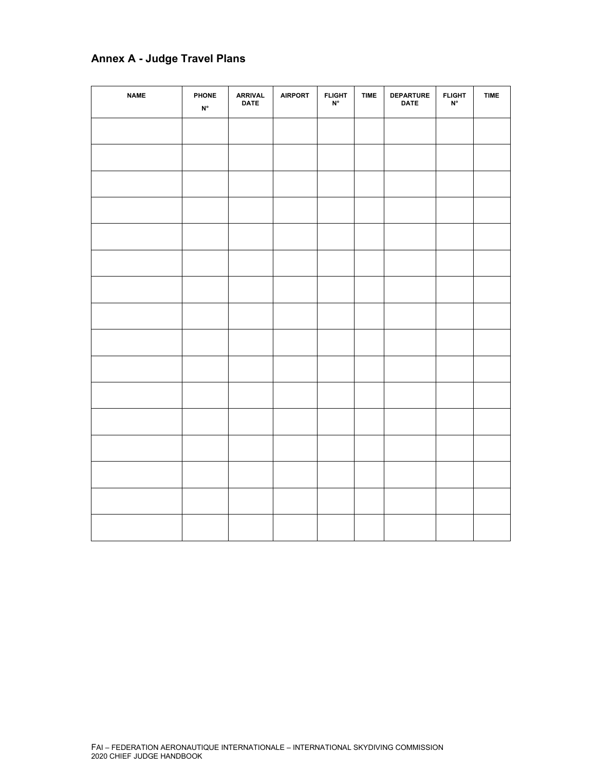## **Annex A - Judge Travel Plans**

| <b>NAME</b> | PHONE<br>$\mathsf{N}^\circ$ | <b>ARRIVAL</b><br><b>DATE</b> | <b>AIRPORT</b> | F L IGHT | <b>TIME</b> | <b>DEPARTURE</b><br><b>DATE</b> | <b>FLIGHT</b><br>N° | <b>TIME</b> |
|-------------|-----------------------------|-------------------------------|----------------|----------|-------------|---------------------------------|---------------------|-------------|
|             |                             |                               |                |          |             |                                 |                     |             |
|             |                             |                               |                |          |             |                                 |                     |             |
|             |                             |                               |                |          |             |                                 |                     |             |
|             |                             |                               |                |          |             |                                 |                     |             |
|             |                             |                               |                |          |             |                                 |                     |             |
|             |                             |                               |                |          |             |                                 |                     |             |
|             |                             |                               |                |          |             |                                 |                     |             |
|             |                             |                               |                |          |             |                                 |                     |             |
|             |                             |                               |                |          |             |                                 |                     |             |
|             |                             |                               |                |          |             |                                 |                     |             |
|             |                             |                               |                |          |             |                                 |                     |             |
|             |                             |                               |                |          |             |                                 |                     |             |
|             |                             |                               |                |          |             |                                 |                     |             |
|             |                             |                               |                |          |             |                                 |                     |             |
|             |                             |                               |                |          |             |                                 |                     |             |
|             |                             |                               |                |          |             |                                 |                     |             |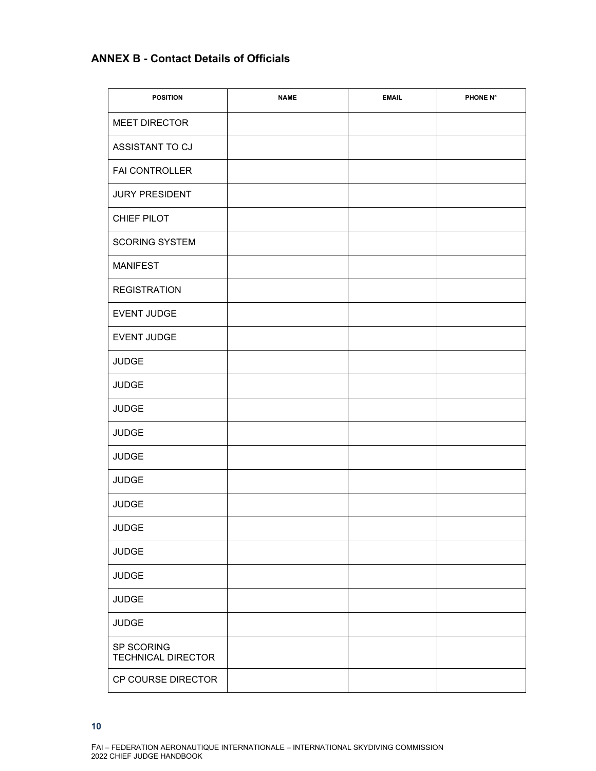## **ANNEX B - Contact Details of Officials**

| <b>POSITION</b>                         | <b>NAME</b> | <b>EMAIL</b> | PHONE N° |
|-----------------------------------------|-------------|--------------|----------|
| <b>MEET DIRECTOR</b>                    |             |              |          |
| ASSISTANT TO CJ                         |             |              |          |
| FAI CONTROLLER                          |             |              |          |
| <b>JURY PRESIDENT</b>                   |             |              |          |
| CHIEF PILOT                             |             |              |          |
| <b>SCORING SYSTEM</b>                   |             |              |          |
| <b>MANIFEST</b>                         |             |              |          |
| <b>REGISTRATION</b>                     |             |              |          |
| EVENT JUDGE                             |             |              |          |
| EVENT JUDGE                             |             |              |          |
| <b>JUDGE</b>                            |             |              |          |
| <b>JUDGE</b>                            |             |              |          |
| <b>JUDGE</b>                            |             |              |          |
| <b>JUDGE</b>                            |             |              |          |
| <b>JUDGE</b>                            |             |              |          |
| <b>JUDGE</b>                            |             |              |          |
| <b>JUDGE</b>                            |             |              |          |
| <b>JUDGE</b>                            |             |              |          |
| <b>JUDGE</b>                            |             |              |          |
| <b>JUDGE</b>                            |             |              |          |
| <b>JUDGE</b>                            |             |              |          |
| <b>JUDGE</b>                            |             |              |          |
| SP SCORING<br><b>TECHNICAL DIRECTOR</b> |             |              |          |
| CP COURSE DIRECTOR                      |             |              |          |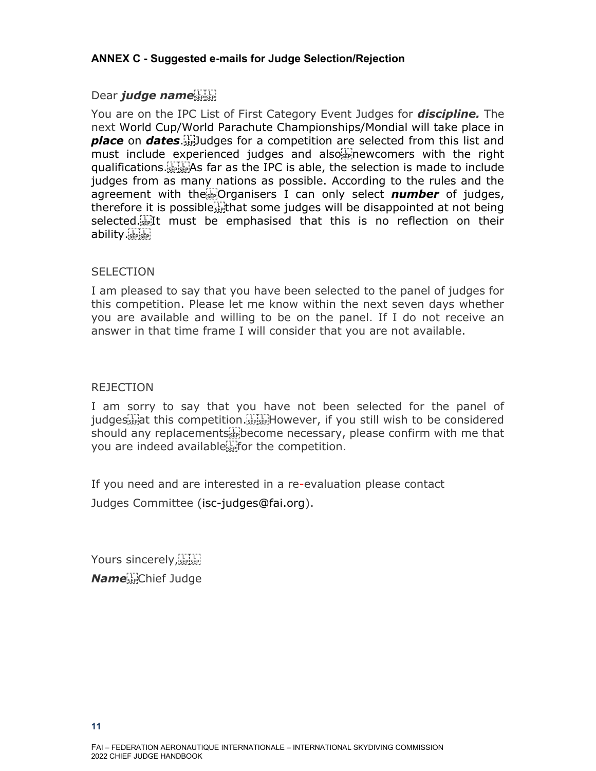## **ANNEX C - Suggested e-mails for Judge Selection/Rejection**

## Dear *judge name*

You are on the IPC List of First Category Event Judges for *discipline.* The next World Cup/World Parachute Championships/Mondial will take place in *place* on *dates*. Judges for a competition are selected from this list and must include experienced judges and also $_{\text{SEP}}^{\text{UL}}$  newcomers with the right qualifications. As far as the IPC is able, the selection is made to include judges from as many nations as possible. According to the rules and the agreement with the **Fight** Organisers I can only select **number** of judges, therefore it is possible that some judges will be disappointed at not being selected.<sup>[17</sup>] It must be emphasised that this is no reflection on their ability.

## **SELECTION**

I am pleased to say that you have been selected to the panel of judges for this competition. Please let me know within the next seven days whether you are available and willing to be on the panel. If I do not receive an answer in that time frame I will consider that you are not available.

## REJECTION

I am sorry to say that you have not been selected for the panel of judges<sup>[17]</sup> jat this competition.<sup>[17]</sup> However, if you still wish to be considered should any replacements **Example 20** are necessary, please confirm with me that you are indeed available<sup>[1]</sup> for the competition.

If you need and are interested in a re-evaluation please contact Judges Committee (isc-judges@fai.org).

Yours sincerely, SEPISEP! *Name* Chief Judge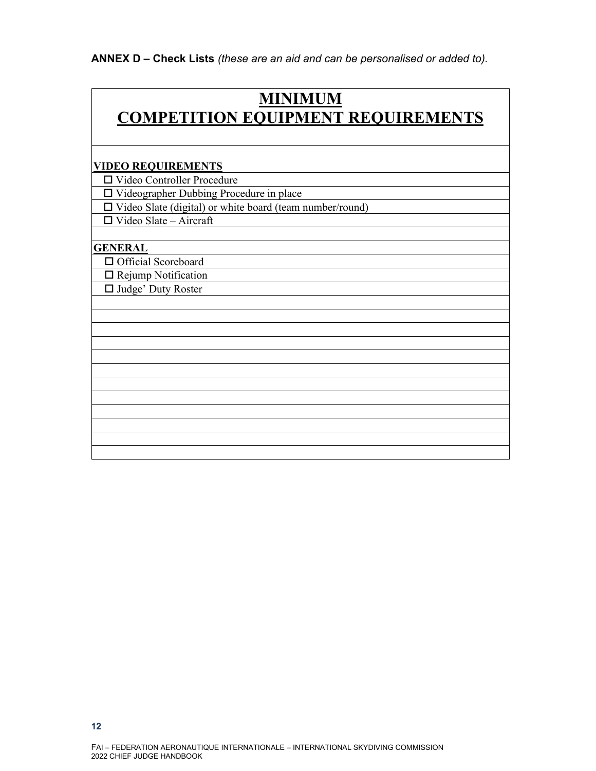**ANNEX D – Check Lists** *(these are an aid and can be personalised or added to).*

## **MINIMUM COMPETITION EQUIPMENT REQUIREMENTS**

#### **VIDEO REQUIREMENTS**

Video Controller Procedure

Videographer Dubbing Procedure in place

 $\Box$  Video Slate (digital) or white board (team number/round)

 $\Box$  Video Slate – Aircraft

#### **GENERAL**

□ Official Scoreboard

□ Rejump Notification

□ Judge' Duty Roster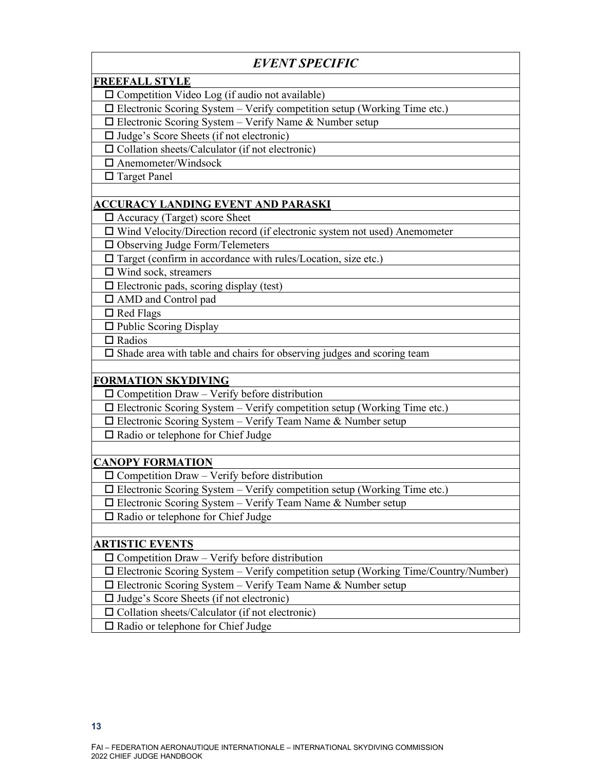## *EVENT SPECIFIC*

## **FREEFALL STYLE**

 $\Box$  Competition Video Log (if audio not available)

 $\Box$  Electronic Scoring System – Verify competition setup (Working Time etc.)

 $\Box$  Electronic Scoring System – Verify Name & Number setup

 $\Box$  Judge's Score Sheets (if not electronic)

 $\square$  Collation sheets/Calculator (if not electronic)

Anemometer/Windsock

□ Target Panel

## **ACCURACY LANDING EVENT AND PARASKI**

Accuracy (Target) score Sheet

 $\Box$  Wind Velocity/Direction record (if electronic system not used) Anemometer

 $\Box$  Observing Judge Form/Telemeters

 $\square$  Target (confirm in accordance with rules/Location, size etc.)

□ Wind sock, streamers

 $\Box$  Electronic pads, scoring display (test)

AMD and Control pad

 $\Box$  Red Flags

 $\Box$  Public Scoring Display

 $\square$  Radios

 $\square$  Shade area with table and chairs for observing judges and scoring team

## **FORMATION SKYDIVING**

 $\square$  Competition Draw – Verify before distribution

 $\Box$  Electronic Scoring System – Verify competition setup (Working Time etc.)

 $\square$  Electronic Scoring System – Verify Team Name & Number setup

 $\Box$  Radio or telephone for Chief Judge

#### **CANOPY FORMATION**

 $\square$  Competition Draw – Verify before distribution

 $\Box$  Electronic Scoring System – Verify competition setup (Working Time etc.)

 $\square$  Electronic Scoring System – Verify Team Name & Number setup

 $\Box$  Radio or telephone for Chief Judge

#### **ARTISTIC EVENTS**

 $\Box$  Competition Draw – Verify before distribution

Electronic Scoring System – Verify competition setup (Working Time/Country/Number)

 $\Box$  Electronic Scoring System – Verify Team Name & Number setup

 $\Box$  Judge's Score Sheets (if not electronic)

 $\square$  Collation sheets/Calculator (if not electronic)

 $\Box$  Radio or telephone for Chief Judge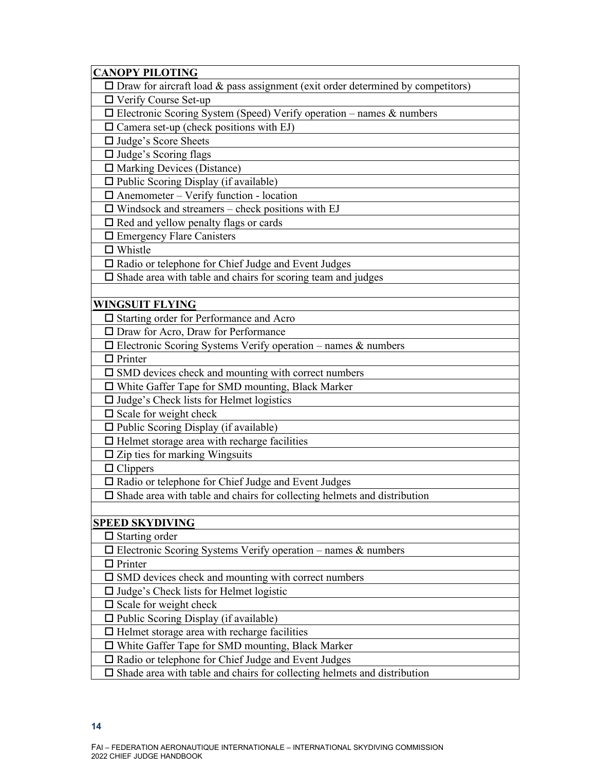| $\square$ Draw for aircraft load & pass assignment (exit order determined by competitors) |
|-------------------------------------------------------------------------------------------|
|                                                                                           |
| $\Box$ Verify Course Set-up                                                               |
| $\square$ Electronic Scoring System (Speed) Verify operation - names & numbers            |
| $\square$ Camera set-up (check positions with EJ)                                         |
| □ Judge's Score Sheets                                                                    |
| $\Box$ Judge's Scoring flags                                                              |
| $\Box$ Marking Devices (Distance)                                                         |
| □ Public Scoring Display (if available)                                                   |
| $\Box$ Anemometer – Verify function - location                                            |
| $\Box$ Windsock and streamers – check positions with EJ                                   |
| $\Box$ Red and yellow penalty flags or cards                                              |
| $\Box$ Emergency Flare Canisters                                                          |
| $\Box$ Whistle                                                                            |
| $\Box$ Radio or telephone for Chief Judge and Event Judges                                |
| $\square$ Shade area with table and chairs for scoring team and judges                    |
|                                                                                           |
| <u>WINGSUIT FLYING</u>                                                                    |
| $\Box$ Starting order for Performance and Acro                                            |
| $\Box$ Draw for Acro, Draw for Performance                                                |
| $\Box$ Electronic Scoring Systems Verify operation – names & numbers                      |
| $\Box$ Printer                                                                            |
| $\square$ SMD devices check and mounting with correct numbers                             |
| □ White Gaffer Tape for SMD mounting, Black Marker                                        |
| $\Box$ Judge's Check lists for Helmet logistics                                           |
| $\Box$ Scale for weight check                                                             |
| □ Public Scoring Display (if available)                                                   |
| $\Box$ Helmet storage area with recharge facilities                                       |
| $\Box$ Zip ties for marking Wingsuits                                                     |
| $\Box$ Clippers                                                                           |
| $\Box$ Radio or telephone for Chief Judge and Event Judges                                |
| $\Box$ Shade area with table and chairs for collecting helmets and distribution           |
|                                                                                           |
| <b>SPEED SKYDIVING</b>                                                                    |
| $\Box$ Starting order                                                                     |
| $\Box$ Electronic Scoring Systems Verify operation – names & numbers                      |
| $\Box$ Printer                                                                            |
| $\square$ SMD devices check and mounting with correct numbers                             |
| $\Box$ Judge's Check lists for Helmet logistic                                            |
| $\square$ Scale for weight check                                                          |
| $\Box$ Public Scoring Display (if available)                                              |
| $\Box$ Helmet storage area with recharge facilities                                       |
| $\Box$ White Gaffer Tape for SMD mounting, Black Marker                                   |
| $\Box$ Radio or telephone for Chief Judge and Event Judges                                |
| $\Box$ Shade area with table and chairs for collecting helmets and distribution           |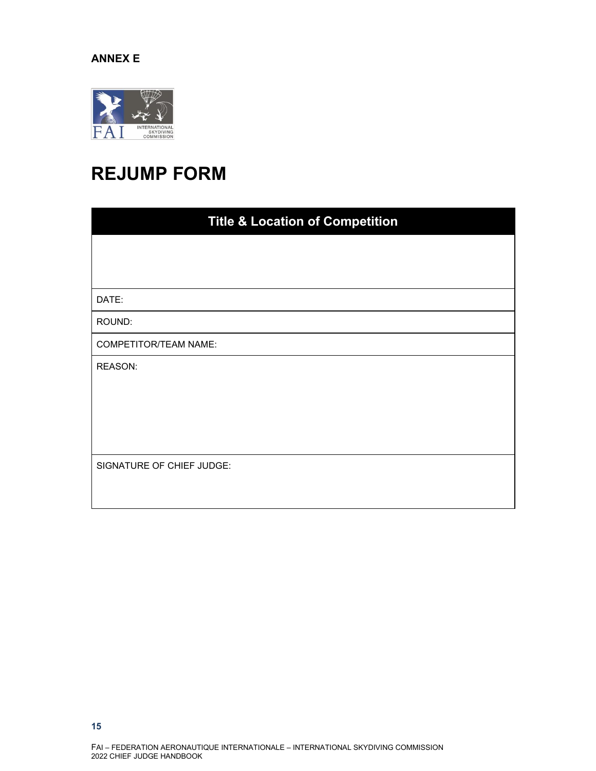#### **ANNEX E**



# **REJUMP FORM**

| <b>Title &amp; Location of Competition</b> |  |  |  |  |
|--------------------------------------------|--|--|--|--|
|                                            |  |  |  |  |
|                                            |  |  |  |  |
| DATE:                                      |  |  |  |  |
| ROUND:                                     |  |  |  |  |
| COMPETITOR/TEAM NAME:                      |  |  |  |  |
| REASON:                                    |  |  |  |  |
|                                            |  |  |  |  |
|                                            |  |  |  |  |
|                                            |  |  |  |  |
| SIGNATURE OF CHIEF JUDGE:                  |  |  |  |  |
|                                            |  |  |  |  |